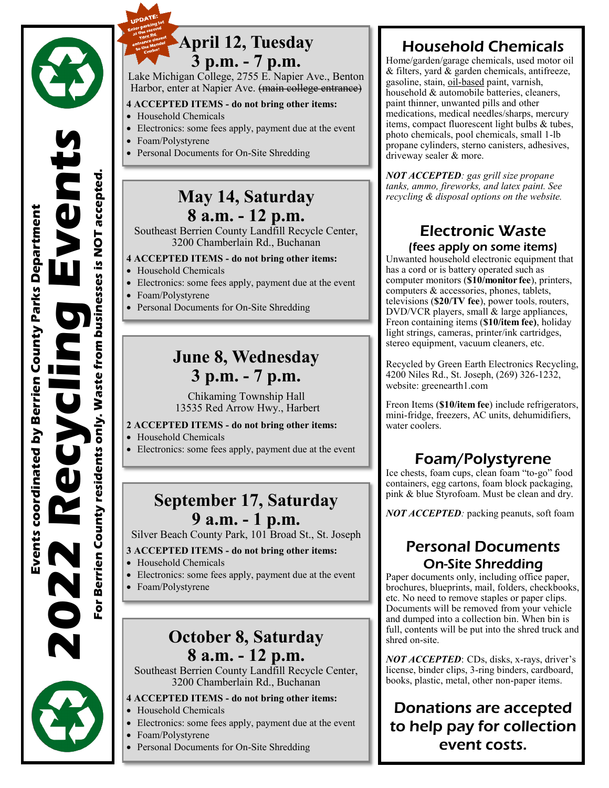



### **April 12, Tuesday 3 p.m. - 7 p.m.**

Lake Michigan College, 2755 E. Napier Ave., Benton Harbor, enter at Napier Ave. (main college entrance)

#### **4 ACCEPTED ITEMS - do not bring other items:**

- Household Chemicals
- Electronics: some fees apply, payment due at the event
- Foam/Polystyrene
- Personal Documents for On-Site Shredding

### **May 14, Saturday 8 a.m. - 12 p.m.**

Southeast Berrien County Landfill Recycle Center, 3200 Chamberlain Rd., Buchanan

#### **4 ACCEPTED ITEMS - do not bring other items:**

- Household Chemicals
- Electronics: some fees apply, payment due at the event
- Foam/Polystyrene
- Personal Documents for On-Site Shredding

## **June 8, Wednesday 3 p.m. - 7 p.m.**

Chikaming Township Hall 13535 Red Arrow Hwy., Harbert

#### **2 ACCEPTED ITEMS - do not bring other items:**

- Household Chemicals
- Electronics: some fees apply, payment due at the event

# **September 17, Saturday 9 a.m. - 1 p.m.**

Silver Beach County Park, 101 Broad St., St. Joseph

#### **3 ACCEPTED ITEMS - do not bring other items:**

- Household Chemicals
- Electronics: some fees apply, payment due at the event
- Foam/Polystyrene

# **October 8, Saturday 8 a.m. - 12 p.m.**

Southeast Berrien County Landfill Recycle Center, 3200 Chamberlain Rd., Buchanan

#### **4 ACCEPTED ITEMS - do not bring other items:**

- Household Chemicals
- Electronics: some fees apply, payment due at the event
- Foam/Polystyrene
- Personal Documents for On-Site Shredding

# Household Chemicals

Home/garden/garage chemicals, used motor oil & filters, yard & garden chemicals, antifreeze, gasoline, stain, oil-based paint, varnish, household & automobile batteries, cleaners, paint thinner, unwanted pills and other medications, medical needles/sharps, mercury items, compact fluorescent light bulbs & tubes, photo chemicals, pool chemicals, small 1-lb propane cylinders, sterno canisters, adhesives, driveway sealer & more.

*NOT ACCEPTED: gas grill size propane tanks, ammo, fireworks, and latex paint. See recycling & disposal options on the website.*

### Electronic Waste (fees apply on some items)

Unwanted household electronic equipment that has a cord or is battery operated such as computer monitors (**\$10/monitor fee**), printers, computers & accessories, phones, tablets, televisions (**\$20/TV fee**), power tools, routers, DVD/VCR players, small & large appliances, Freon containing items (**\$10/item fee)**, holiday light strings, cameras, printer/ink cartridges, stereo equipment, vacuum cleaners, etc.

Recycled by Green Earth Electronics Recycling, 4200 Niles Rd., St. Joseph, (269) 326-1232, website: greenearth1.com

Freon Items (**\$10/item fee**) include refrigerators, mini-fridge, freezers, AC units, dehumidifiers, water coolers.

## Foam/Polystyrene

Ice chests, foam cups, clean foam "to-go" food containers, egg cartons, foam block packaging, pink & blue Styrofoam. Must be clean and dry.

*NOT ACCEPTED:* packing peanuts, soft foam

### Personal Documents On-Site Shredding

Paper documents only, including office paper, brochures, blueprints, mail, folders, checkbooks, etc. No need to remove staples or paper clips. Documents will be removed from your vehicle and dumped into a collection bin. When bin is full, contents will be put into the shred truck and shred on-site.

*NOT ACCEPTED*: CDs, disks, x-rays, driver's license, binder clips, 3-ring binders, cardboard, books, plastic, metal, other non-paper items.

## Donations are accepted to help pay for collection event costs.